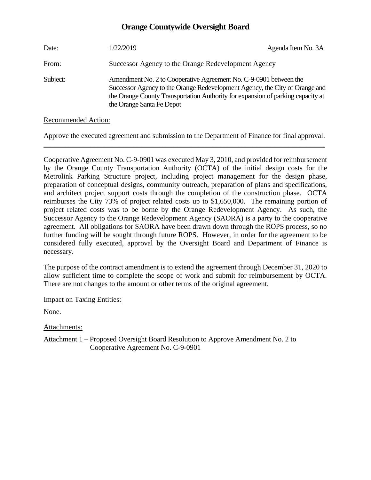# **Orange Countywide Oversight Board**

| Date:    | 1/22/2019                                                                                                                                                                                                                                                        | Agenda Item No. 3A |
|----------|------------------------------------------------------------------------------------------------------------------------------------------------------------------------------------------------------------------------------------------------------------------|--------------------|
| From:    | Successor Agency to the Orange Redevelopment Agency                                                                                                                                                                                                              |                    |
| Subject: | Amendment No. 2 to Cooperative Agreement No. C-9-0901 between the<br>Successor Agency to the Orange Redevelopment Agency, the City of Orange and<br>the Orange County Transportation Authority for expansion of parking capacity at<br>the Orange Santa Fe Depot |                    |

## Recommended Action:

Approve the executed agreement and submission to the Department of Finance for final approval. \_\_\_\_\_\_\_\_\_\_\_\_\_\_\_\_\_\_\_\_\_\_\_\_\_\_\_\_\_\_\_\_\_\_\_\_\_\_\_\_\_\_\_\_\_\_\_\_\_\_\_\_\_\_\_\_\_\_\_\_\_\_\_\_\_\_\_\_\_\_\_\_\_\_\_\_\_\_

Cooperative Agreement No. C-9-0901 was executed May 3, 2010, and provided for reimbursement by the Orange County Transportation Authority (OCTA) of the initial design costs for the Metrolink Parking Structure project, including project management for the design phase, preparation of conceptual designs, community outreach, preparation of plans and specifications, and architect project support costs through the completion of the construction phase. OCTA reimburses the City 73% of project related costs up to \$1,650,000. The remaining portion of project related costs was to be borne by the Orange Redevelopment Agency. As such, the Successor Agency to the Orange Redevelopment Agency (SAORA) is a party to the cooperative agreement. All obligations for SAORA have been drawn down through the ROPS process, so no further funding will be sought through future ROPS. However, in order for the agreement to be considered fully executed, approval by the Oversight Board and Department of Finance is necessary.

The purpose of the contract amendment is to extend the agreement through December 31, 2020 to allow sufficient time to complete the scope of work and submit for reimbursement by OCTA. There are not changes to the amount or other terms of the original agreement.

Impact on Taxing Entities:

None.

Attachments:

Attachment 1 – Proposed Oversight Board Resolution to Approve Amendment No. 2 to Cooperative Agreement No. C-9-0901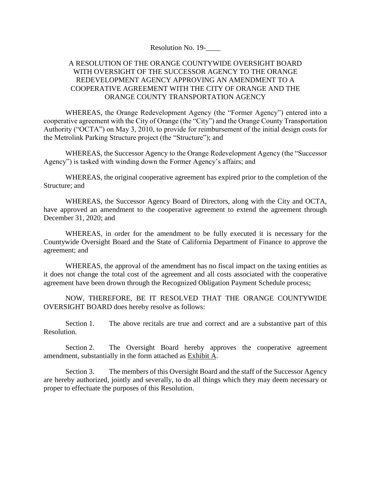Resolution No. 19-

## A RESOLUTION OF THE ORANGE COUNTYWIDE OVERSIGHT BOARD WITH OVERSIGHT OF THE SUCCESSOR AGENCY TO THE ORANGE REDEVELOPMENT AGENCY APPROVING AN AMENDMENT TO A COOPERATIVE AGREEMENT WITH THE CITY OF ORANGE AND THE ORANGE COUNTY TRANSPORTATION AGENCY

WHEREAS, the Orange Redevelopment Agency (the "Former Agency") entered into a cooperative agreement with the City of Orange (the "City") and the Orange County Transportation Authority ("OCTA") on May 3, 2010, to provide for reimbursement of the initial design costs for the Metrolink Parking Structure project (the "Structure"); and

WHEREAS, the Successor Agency to the Orange Redevelopment Agency (the "Successor Agency") is tasked with winding down the Former Agency's affairs; and

WHEREAS, the original cooperative agreement has expired prior to the completion of the Structure; and

WHEREAS, the Successor Agency Board of Directors, along with the City and OCTA, have approved an amendment to the cooperative agreement to extend the agreement through December 31, 2020; and

WHEREAS, in order for the amendment to be fully executed it is necessary for the Countywide Oversight Board and the State of California Department of Finance to approve the agreement; and

WHEREAS, the approval of the amendment has no fiscal impact on the taxing entities as it does not change the total cost of the agreement and all costs associated with the cooperative agreement have been drown through the Recognized Obligation Payment Schedule process;

NOW, THEREFORE, BE IT RESOLVED THAT THE ORANGE COUNTYWIDE OVERSIGHT BOARD does hereby resolve as follows:

Section 1. The above recitals are true and correct and are a substantive part of this Resolution.

Section 2. The Oversight Board hereby approves the cooperative agreement amendment, substantially in the form attached as Exhibit A.

Section 3. The members of this Oversight Board and the staff of the Successor Agency are hereby authorized, jointly and severally, to do all things which they may deem necessary or proper to effectuate the purposes of this Resolution.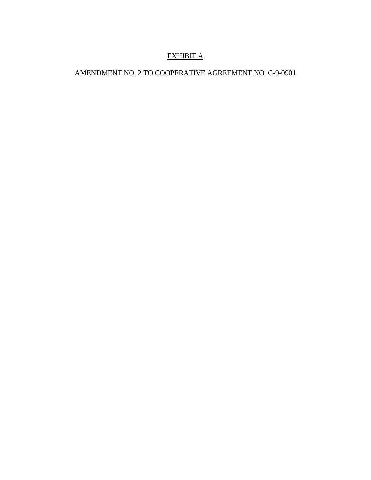# EXHIBIT A

# AMENDMENT NO. 2 TO COOPERATIVE AGREEMENT NO. C-9-0901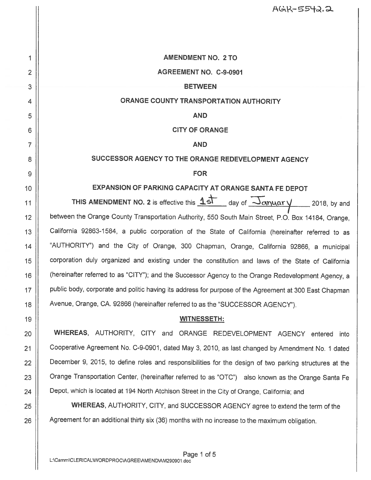AGR-5542.2

**AMENDMENT NO. 2 TO** 

#### AGREEMENT NO. C-9-0901

#### **BETWEEN**

## ORANGE COUNTY TRANSPORTATION AUTHORITY

**AND** 

#### **CITY OF ORANGE**

**AND** 

## SUCCESSOR AGENCY TO THE ORANGE REDEVELOPMENT AGENCY

#### **FOR**

## EXPANSION OF PARKING CAPACITY AT ORANGE SANTA FE DEPOT

THIS AMENDMENT NO. 2 is effective this  $15$  day of  $\overline{\frac{1}{2}}$  day of  $\overline{\frac{1}{2}}$  and 2018, by and between the Orange County Transportation Authority, 550 South Main Street, P.O. Box 14184, Orange, California 92863-1584, a public corporation of the State of California (hereinafter referred to as "AUTHORITY") and the City of Orange, 300 Chapman, Orange, California 92866, a municipal corporation duly organized and existing under the constitution and laws of the State of California (hereinafter referred to as "CITY"); and the Successor Agency to the Orange Redevelopment Agency, a public body, corporate and politic having its address for purpose of the Agreement at 300 East Chapman Avenue, Orange, CA. 92866 (hereinafter referred to as the "SUCCESSOR AGENCY").

#### **WITNESSETH:**

WHEREAS, AUTHORITY, CITY and ORANGE REDEVELOPMENT AGENCY entered into Cooperative Agreement No. C-9-0901, dated May 3, 2010, as last changed by Amendment No. 1 dated December 9, 2015, to define roles and responsibilities for the design of two parking structures at the Orange Transportation Center, (hereinafter referred to as "OTC") also known as the Orange Santa Fe Depot, which is located at 194 North Atchison Street in the City of Orange, California; and

WHEREAS, AUTHORITY, CITY, and SUCCESSOR AGENCY agree to extend the term of the Agreement for an additional thirty six (36) months with no increase to the maximum obligation.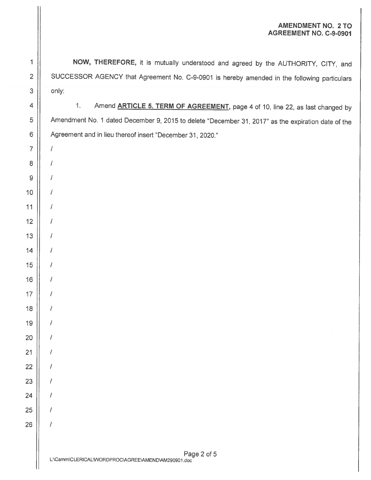### **AMENDMENT NO. 2 TO** AGREEMENT NO. C-9-0901

 $\sqrt{ }$ 

 $\prime$ 

 $\prime$ 

 $\prime$ 

 $\prime$ 

 $\prime$ 

 $\prime$ 

 $\prime$ 

7

 $\sqrt{ }$ 

 $\prime$ 

 $\prime$ 

 $\prime$ 

 $\overline{1}$ 

 $\prime$ 

 $\prime$ 

 $\prime$ 

1

NOW, THEREFORE, it is mutually understood and agreed by the AUTHORITY, CITY, and SUCCESSOR AGENCY that Agreement No. C-9-0901 is hereby amended in the following particulars only:

 $1.$ Amend **ARTICLE 5. TERM OF AGREEMENT**, page 4 of 10, line 22, as last changed by Amendment No. 1 dated December 9, 2015 to delete "December 31, 2017" as the expiration date of the Agreement and in lieu thereof insert "December 31, 2020."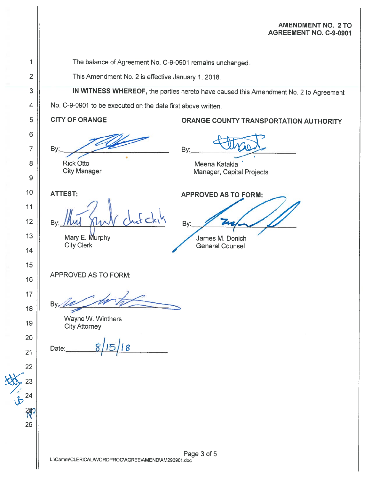### **AMENDMENT NO. 2 TO** AGREEMENT NO. C-9-0901

The balance of Agreement No. C-9-0901 remains unchanged.

This Amendment No. 2 is effective January 1, 2018.

IN WITNESS WHEREOF, the parties hereto have caused this Amendment No. 2 to Agreement

No. C-9-0901 to be executed on the date first above written.

**CITY OF ORANGE** 

**Rick Otto** 

**City Manager** 

By: Meena Katakia Manager, Capital Projects

**APPROVED AS TO FORM:** 

**ORANGE COUNTY TRANSPORTATION AUTHORITY** 

**ATTEST:** 

By:

 $f$ clei **Bv** 

Mary E. Murphy **City Clerk** 

By: James M. Donich **General Counsel** 

APPROVED AS TO FORM:

Bv:

Wayne W. Winthers **City Attorney** 

Date: